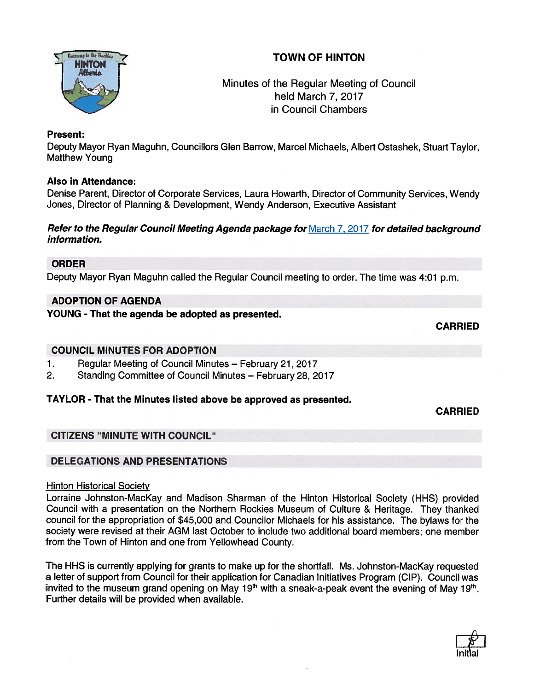# TOWN OF HINTON



Minutes of the Regular Meeting of Council held March 7, 2017 in Council Chambers

## Present:

Deputy Mayor Ryan Maguhn, Councillors Glen Barrow, Marcel Michaels, Albert Ostashek, Stuart Taylor, Matthew Young

## Also in Attendance:

Denise Parent, Director of Corporate Services, Laura Howarth, Director of Community Services, Wendy Jones, Director of Planning & Development, Wendy Anderson, Executive Assistant

#### Refer to the Regular Council Meeting Agenda package for March 7, 2017 for detailed background information.

# ORDER

Deputy Mayor Ryan Maguhn called the Regular Council meeting to order. The time was 4:01 p.m.

# ADOPTION OF AGENDA

YOUNG - That the agenda be adopted as presented.

CARRIED

#### COUNCIL MINUTES FOR ADOPTION

- 1. Regular Meeting of Council Minutes February 21, 2017
- 2. Standing Committee of Council Minutes February 28, 2017

# TAYLOR - That the Minutes listed above be approved as presented.

CARRIED

# CITIZENS "MINUTE WITH COUNCIL"

# DELEGATIONS AND PRESENTATIONS

#### Hinton Historical Society

Lorraine Johnston-MacKay and Madison Sharman of the Hinton Historical Society (HHS) provided Council with <sup>a</sup> presentation on the Northern Rockies Museum of Culture & Heritage. They thanked council for the appropriation of \$45,000 and Councilor Michaels for his assistance. The bylaws for the society were revised at their AGM last October to include two additional board members; one member from the Town of Hinton and one from Yellowhead County.

The HHS is currently applying for grants to make up for the shortfall. Ms. Johnston-MacKay requested <sup>a</sup> letter of suppor<sup>t</sup> from Council for their application for Canadian Initiatives Program (CIP). Council was invited to the museum grand opening on May 19<sup>th</sup> with a sneak-a-peak event the evening of May 19<sup>th</sup>. Further details will be provided when available.

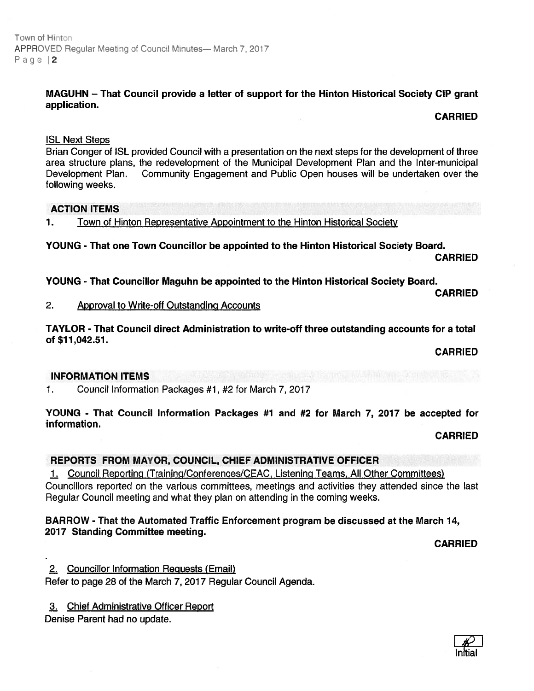#### MAGUHN — That Council provide <sup>a</sup> letter of suppor<sup>t</sup> for the Hinton Historical Society CIP gran<sup>t</sup> application.

CARRIED

#### ISL Next Steps

Brian Conger of ISL provided Council with <sup>a</sup> presentation on the next steps for the development of three area structure plans, the redevelopment of the Municipal Development Plan and the Inter-municipal Development Plan. Community Engagement and Public Open houses will be undertaken over the following weeks.

## ACTION ITEMS

1. Town of Hinton Representative Appointment to the Hinton Historical Society

YOUNG - That one Town Councillor be appointed to the Hinton Historical Society Board. CARRIED

YOUNG - That Councillor Maguhn be appointed to the Hinton Historical Society Board.

CARRIED

#### 2. Approval to Write-off Outstanding Accounts

TAYLOR - That Council direct Administration to write-off three outstanding accounts for <sup>a</sup> total of \$11,042.51.

CARRIED

#### INFORMATION ITEMS

1. Council Information Packages #1, #2 for March 7, 2017

YOUNG - That Council Information Packages #1 and #2 for March 7, 2017 be accepted for information.

CARRIED

# REPORTS FROM MAYOR, COUNCIL, CHIEF ADMINISTRATIVE OFFICER

1. Council Reporting (Training/Conferences/CEAC, Listening Teams, All Other Committees) Councillors reported on the various committees, meetings and activities they attended since the last Regular Council meeting and what they plan on attending in the coming weeks.

## BARROW - That the Automated Traffic Enforcement program be discussed at the March 14, 2077 Standing Committee meeting.

CARRIED

2. Councillor Information Reguests (Email)

Refer to page 28 of the March 7, 2017 Regular Council Agenda.

3. Chief Administrative Officer Report

Denise Parent had no update.